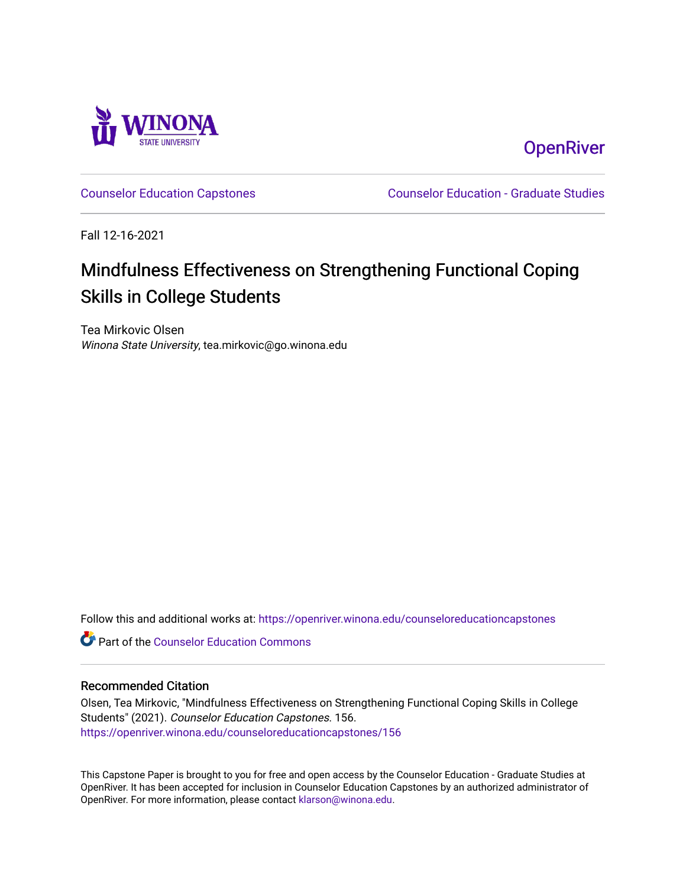

**OpenRiver** 

[Counselor Education Capstones](https://openriver.winona.edu/counseloreducationcapstones) [Counselor Education - Graduate Studies](https://openriver.winona.edu/counseloreducation) 

Fall 12-16-2021

# Mindfulness Effectiveness on Strengthening Functional Coping Skills in College Students

Tea Mirkovic Olsen Winona State University, tea.mirkovic@go.winona.edu

Follow this and additional works at: [https://openriver.winona.edu/counseloreducationcapstones](https://openriver.winona.edu/counseloreducationcapstones?utm_source=openriver.winona.edu%2Fcounseloreducationcapstones%2F156&utm_medium=PDF&utm_campaign=PDFCoverPages)

**C** Part of the Counselor Education Commons

#### Recommended Citation

Olsen, Tea Mirkovic, "Mindfulness Effectiveness on Strengthening Functional Coping Skills in College Students" (2021). Counselor Education Capstones. 156. [https://openriver.winona.edu/counseloreducationcapstones/156](https://openriver.winona.edu/counseloreducationcapstones/156?utm_source=openriver.winona.edu%2Fcounseloreducationcapstones%2F156&utm_medium=PDF&utm_campaign=PDFCoverPages)

This Capstone Paper is brought to you for free and open access by the Counselor Education - Graduate Studies at OpenRiver. It has been accepted for inclusion in Counselor Education Capstones by an authorized administrator of OpenRiver. For more information, please contact [klarson@winona.edu](mailto:klarson@winona.edu).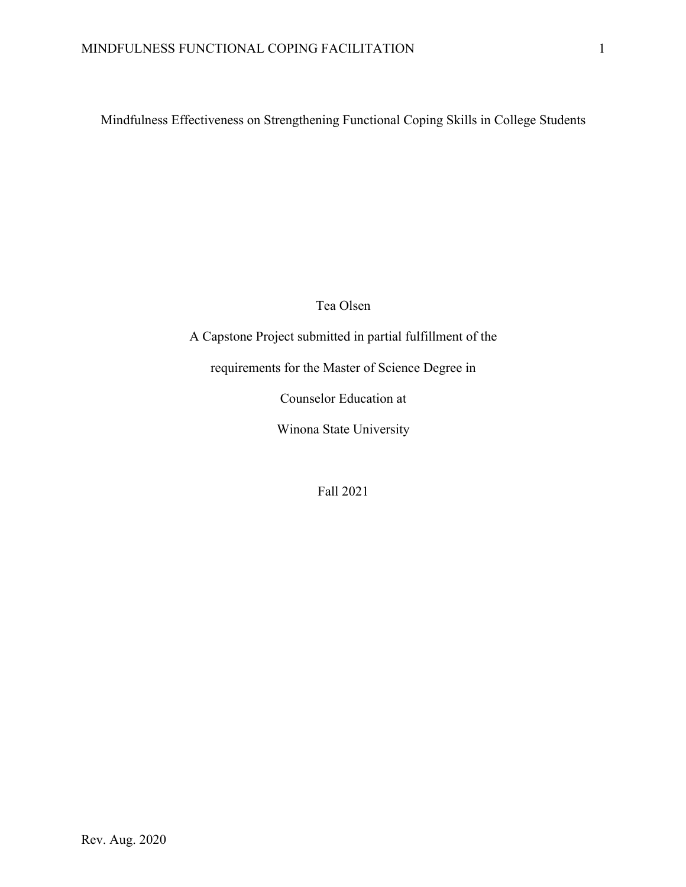Mindfulness Effectiveness on Strengthening Functional Coping Skills in College Students

Tea Olsen

A Capstone Project submitted in partial fulfillment of the requirements for the Master of Science Degree in

Counselor Education at

Winona State University

Fall 2021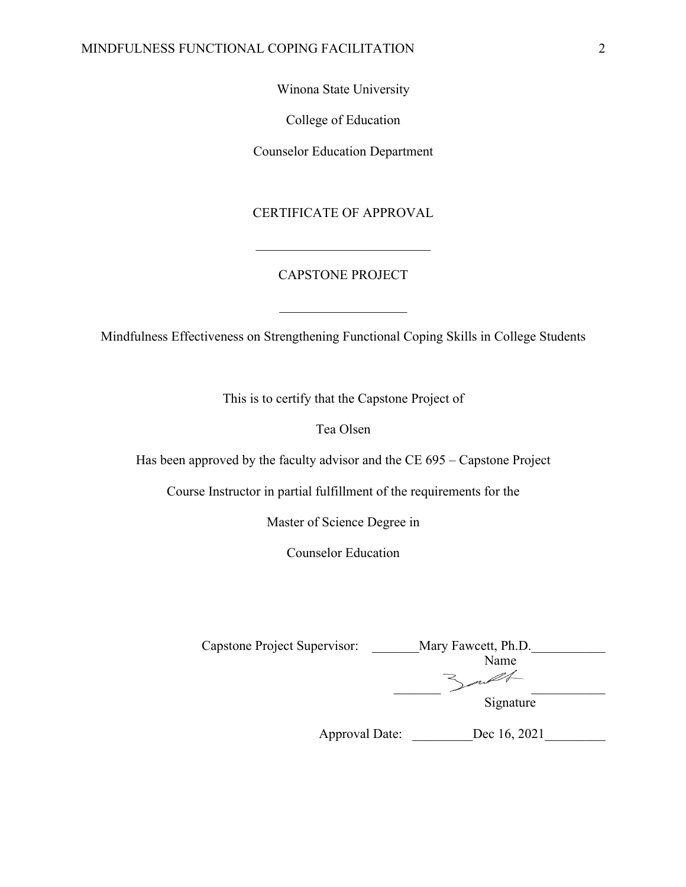Winona State University

College of Education

Counselor Education Department

## CERTIFICATE OF APPROVAL

# CAPSTONE PROJECT

Mindfulness Effectiveness on Strengthening Functional Coping Skills in College Students

This is to certify that the Capstone Project of

Tea Olsen

Has been approved by the faculty advisor and the CE 695 – Capstone Project

Course Instructor in partial fulfillment of the requirements for the

Master of Science Degree in

Counselor Education

| Capstone Project Supervisor: | Mary Fawcett, Ph.D. |
|------------------------------|---------------------|
|                              | Name                |
|                              |                     |
|                              | Signature           |
| Approval Date:               | Dec 16, 2021        |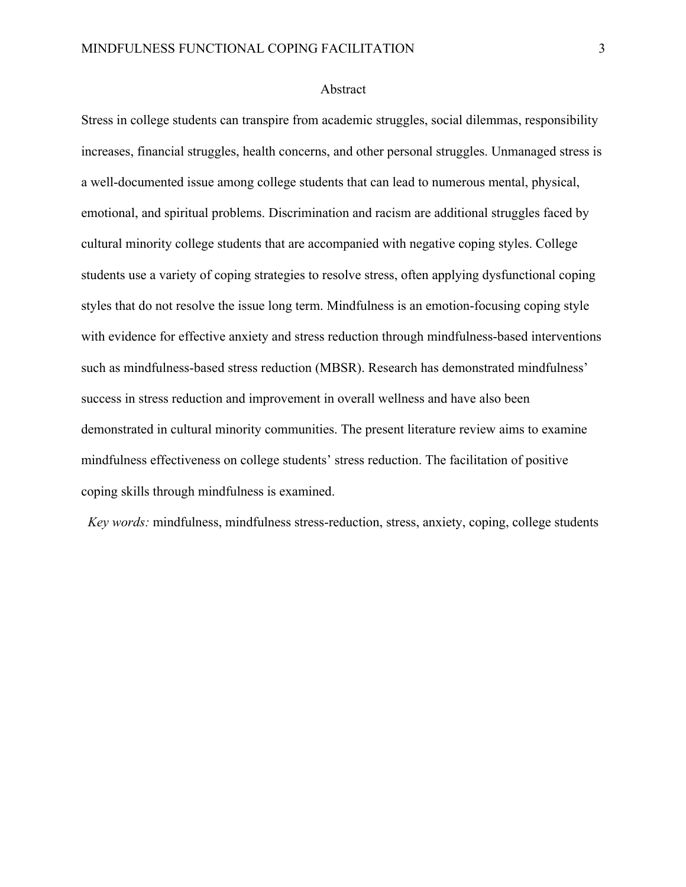#### Abstract

Stress in college students can transpire from academic struggles, social dilemmas, responsibility increases, financial struggles, health concerns, and other personal struggles. Unmanaged stress is a well-documented issue among college students that can lead to numerous mental, physical, emotional, and spiritual problems. Discrimination and racism are additional struggles faced by cultural minority college students that are accompanied with negative coping styles. College students use a variety of coping strategies to resolve stress, often applying dysfunctional coping styles that do not resolve the issue long term. Mindfulness is an emotion-focusing coping style with evidence for effective anxiety and stress reduction through mindfulness-based interventions such as mindfulness-based stress reduction (MBSR). Research has demonstrated mindfulness' success in stress reduction and improvement in overall wellness and have also been demonstrated in cultural minority communities. The present literature review aims to examine mindfulness effectiveness on college students' stress reduction. The facilitation of positive coping skills through mindfulness is examined.

*Key words:* mindfulness, mindfulness stress-reduction, stress, anxiety, coping, college students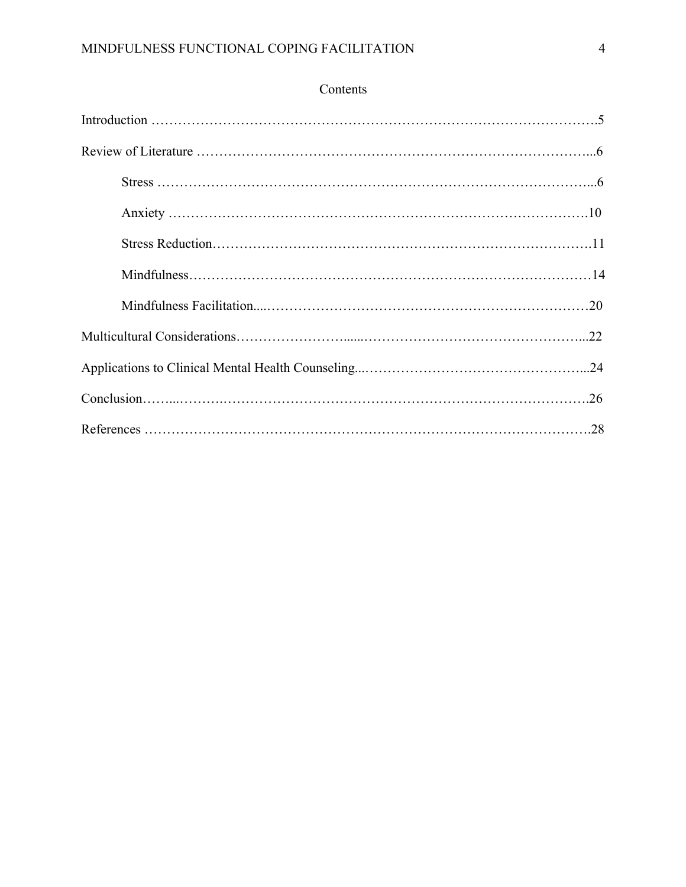# Contents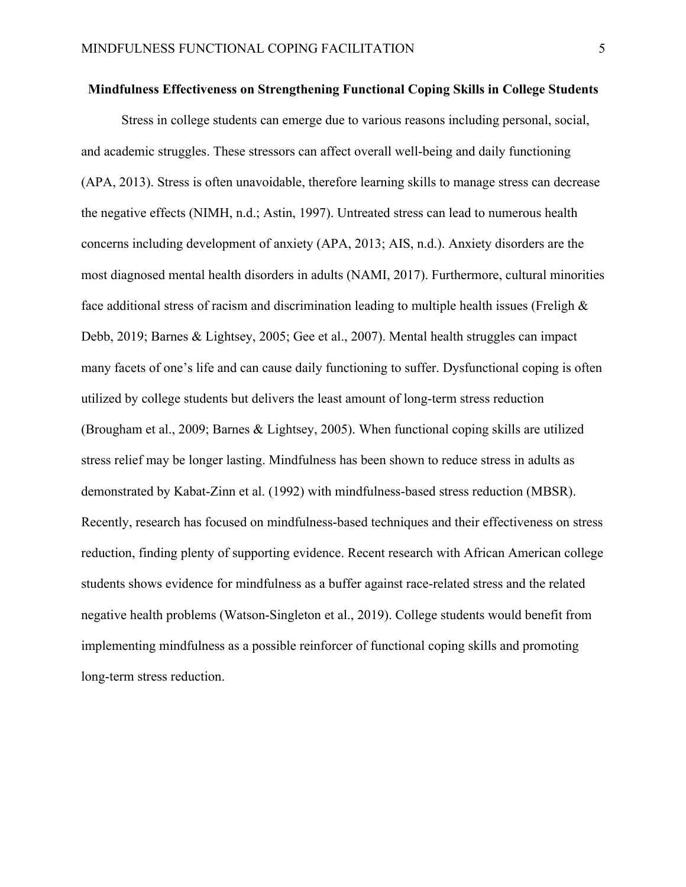#### **Mindfulness Effectiveness on Strengthening Functional Coping Skills in College Students**

Stress in college students can emerge due to various reasons including personal, social, and academic struggles. These stressors can affect overall well-being and daily functioning (APA, 2013). Stress is often unavoidable, therefore learning skills to manage stress can decrease the negative effects (NIMH, n.d.; Astin, 1997). Untreated stress can lead to numerous health concerns including development of anxiety (APA, 2013; AIS, n.d.). Anxiety disorders are the most diagnosed mental health disorders in adults (NAMI, 2017). Furthermore, cultural minorities face additional stress of racism and discrimination leading to multiple health issues (Freligh  $\&$ Debb, 2019; Barnes & Lightsey, 2005; Gee et al., 2007). Mental health struggles can impact many facets of one's life and can cause daily functioning to suffer. Dysfunctional coping is often utilized by college students but delivers the least amount of long-term stress reduction (Brougham et al., 2009; Barnes & Lightsey, 2005). When functional coping skills are utilized stress relief may be longer lasting. Mindfulness has been shown to reduce stress in adults as demonstrated by Kabat-Zinn et al. (1992) with mindfulness-based stress reduction (MBSR). Recently, research has focused on mindfulness-based techniques and their effectiveness on stress reduction, finding plenty of supporting evidence. Recent research with African American college students shows evidence for mindfulness as a buffer against race-related stress and the related negative health problems (Watson-Singleton et al., 2019). College students would benefit from implementing mindfulness as a possible reinforcer of functional coping skills and promoting long-term stress reduction.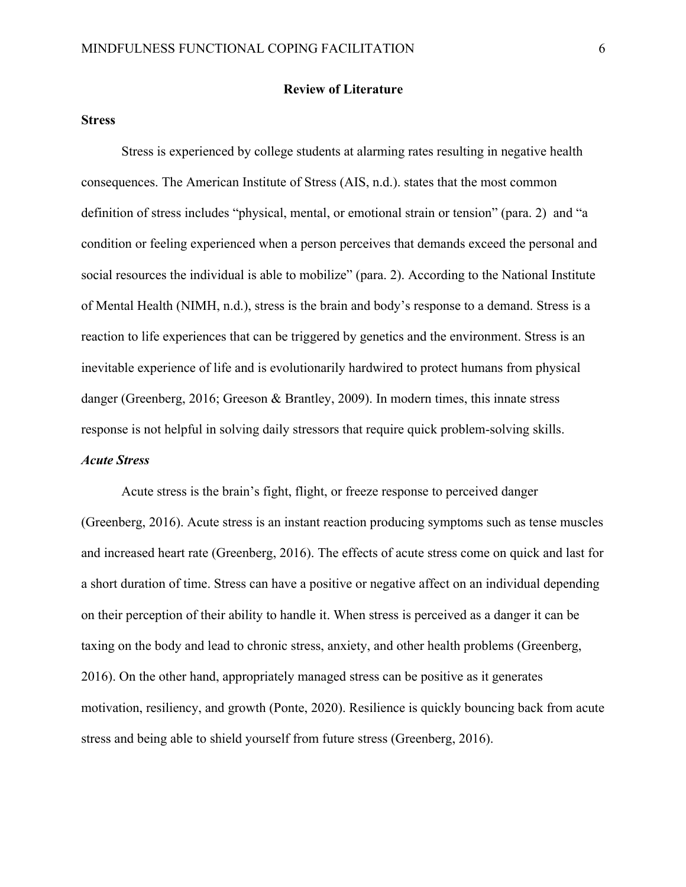#### **Review of Literature**

#### **Stress**

Stress is experienced by college students at alarming rates resulting in negative health consequences. The American Institute of Stress (AIS, n.d.). states that the most common definition of stress includes "physical, mental, or emotional strain or tension" (para. 2) and "a condition or feeling experienced when a person perceives that demands exceed the personal and social resources the individual is able to mobilize" (para. 2). According to the National Institute of Mental Health (NIMH, n.d.), stress is the brain and body's response to a demand. Stress is a reaction to life experiences that can be triggered by genetics and the environment. Stress is an inevitable experience of life and is evolutionarily hardwired to protect humans from physical danger (Greenberg, 2016; Greeson & Brantley, 2009). In modern times, this innate stress response is not helpful in solving daily stressors that require quick problem-solving skills. *Acute Stress*

Acute stress is the brain's fight, flight, or freeze response to perceived danger (Greenberg, 2016). Acute stress is an instant reaction producing symptoms such as tense muscles and increased heart rate (Greenberg, 2016). The effects of acute stress come on quick and last for a short duration of time. Stress can have a positive or negative affect on an individual depending on their perception of their ability to handle it. When stress is perceived as a danger it can be taxing on the body and lead to chronic stress, anxiety, and other health problems (Greenberg, 2016). On the other hand, appropriately managed stress can be positive as it generates motivation, resiliency, and growth (Ponte, 2020). Resilience is quickly bouncing back from acute stress and being able to shield yourself from future stress (Greenberg, 2016).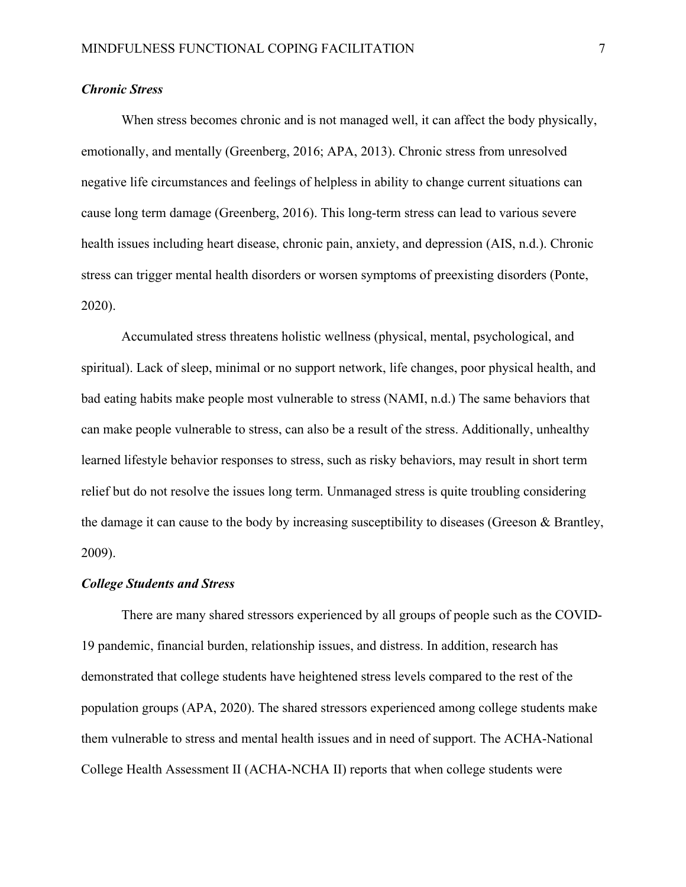#### *Chronic Stress*

When stress becomes chronic and is not managed well, it can affect the body physically, emotionally, and mentally (Greenberg, 2016; APA, 2013). Chronic stress from unresolved negative life circumstances and feelings of helpless in ability to change current situations can cause long term damage (Greenberg, 2016). This long-term stress can lead to various severe health issues including heart disease, chronic pain, anxiety, and depression (AIS, n.d.). Chronic stress can trigger mental health disorders or worsen symptoms of preexisting disorders (Ponte, 2020).

Accumulated stress threatens holistic wellness (physical, mental, psychological, and spiritual). Lack of sleep, minimal or no support network, life changes, poor physical health, and bad eating habits make people most vulnerable to stress (NAMI, n.d.) The same behaviors that can make people vulnerable to stress, can also be a result of the stress. Additionally, unhealthy learned lifestyle behavior responses to stress, such as risky behaviors, may result in short term relief but do not resolve the issues long term. Unmanaged stress is quite troubling considering the damage it can cause to the body by increasing susceptibility to diseases (Greeson & Brantley, 2009).

#### *College Students and Stress*

There are many shared stressors experienced by all groups of people such as the COVID-19 pandemic, financial burden, relationship issues, and distress. In addition, research has demonstrated that college students have heightened stress levels compared to the rest of the population groups (APA, 2020). The shared stressors experienced among college students make them vulnerable to stress and mental health issues and in need of support. The ACHA-National College Health Assessment II (ACHA-NCHA II) reports that when college students were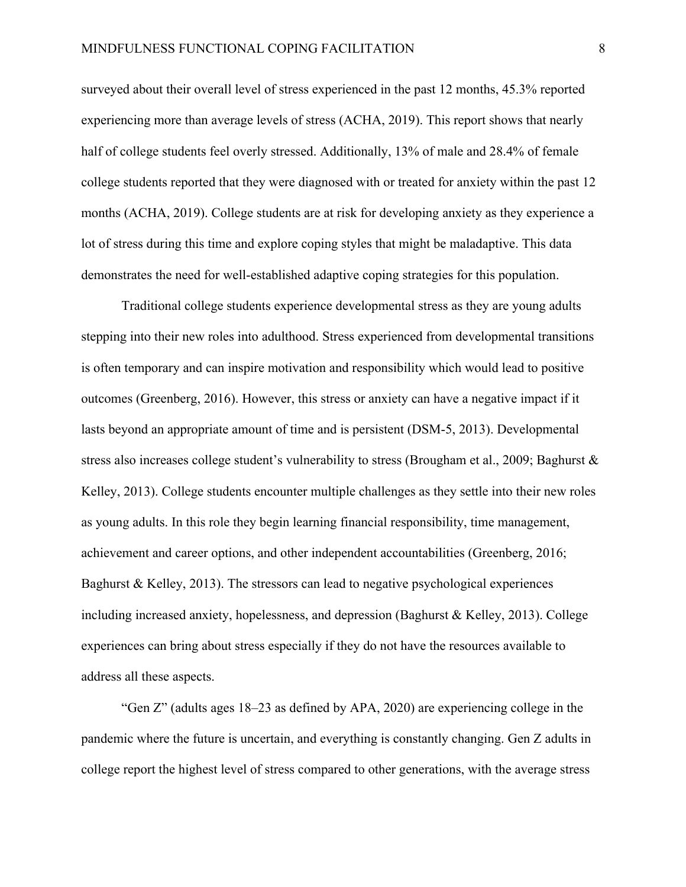surveyed about their overall level of stress experienced in the past 12 months, 45.3% reported experiencing more than average levels of stress (ACHA, 2019). This report shows that nearly half of college students feel overly stressed. Additionally, 13% of male and 28.4% of female college students reported that they were diagnosed with or treated for anxiety within the past 12 months (ACHA, 2019). College students are at risk for developing anxiety as they experience a lot of stress during this time and explore coping styles that might be maladaptive. This data demonstrates the need for well-established adaptive coping strategies for this population.

Traditional college students experience developmental stress as they are young adults stepping into their new roles into adulthood. Stress experienced from developmental transitions is often temporary and can inspire motivation and responsibility which would lead to positive outcomes (Greenberg, 2016). However, this stress or anxiety can have a negative impact if it lasts beyond an appropriate amount of time and is persistent (DSM-5, 2013). Developmental stress also increases college student's vulnerability to stress (Brougham et al., 2009; Baghurst & Kelley, 2013). College students encounter multiple challenges as they settle into their new roles as young adults. In this role they begin learning financial responsibility, time management, achievement and career options, and other independent accountabilities (Greenberg, 2016; Baghurst & Kelley, 2013). The stressors can lead to negative psychological experiences including increased anxiety, hopelessness, and depression (Baghurst & Kelley, 2013). College experiences can bring about stress especially if they do not have the resources available to address all these aspects.

"Gen Z" (adults ages 18–23 as defined by APA, 2020) are experiencing college in the pandemic where the future is uncertain, and everything is constantly changing. Gen Z adults in college report the highest level of stress compared to other generations, with the average stress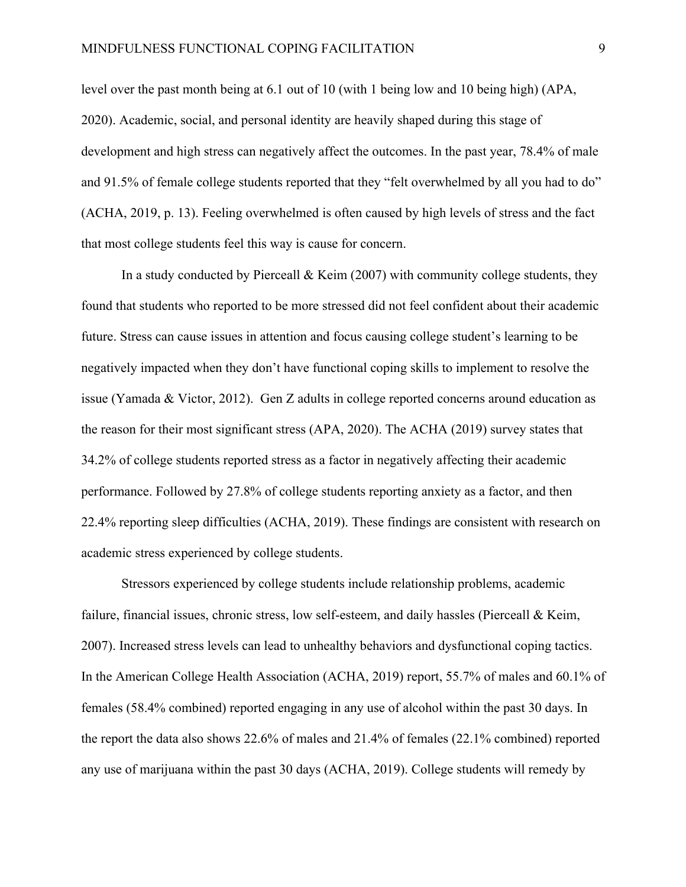level over the past month being at 6.1 out of 10 (with 1 being low and 10 being high) (APA, 2020). Academic, social, and personal identity are heavily shaped during this stage of development and high stress can negatively affect the outcomes. In the past year, 78.4% of male and 91.5% of female college students reported that they "felt overwhelmed by all you had to do" (ACHA, 2019, p. 13). Feeling overwhelmed is often caused by high levels of stress and the fact that most college students feel this way is cause for concern.

In a study conducted by Pierceall & Keim (2007) with community college students, they found that students who reported to be more stressed did not feel confident about their academic future. Stress can cause issues in attention and focus causing college student's learning to be negatively impacted when they don't have functional coping skills to implement to resolve the issue (Yamada & Victor, 2012). Gen Z adults in college reported concerns around education as the reason for their most significant stress (APA, 2020). The ACHA (2019) survey states that 34.2% of college students reported stress as a factor in negatively affecting their academic performance. Followed by 27.8% of college students reporting anxiety as a factor, and then 22.4% reporting sleep difficulties (ACHA, 2019). These findings are consistent with research on academic stress experienced by college students.

Stressors experienced by college students include relationship problems, academic failure, financial issues, chronic stress, low self-esteem, and daily hassles (Pierceall & Keim, 2007). Increased stress levels can lead to unhealthy behaviors and dysfunctional coping tactics. In the American College Health Association (ACHA, 2019) report, 55.7% of males and 60.1% of females (58.4% combined) reported engaging in any use of alcohol within the past 30 days. In the report the data also shows 22.6% of males and 21.4% of females (22.1% combined) reported any use of marijuana within the past 30 days (ACHA, 2019). College students will remedy by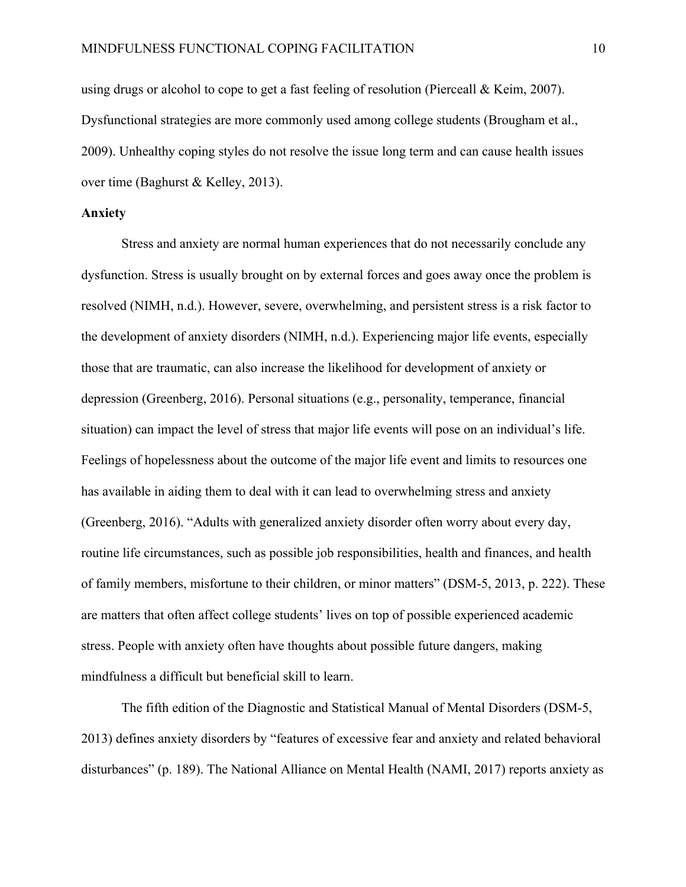using drugs or alcohol to cope to get a fast feeling of resolution (Pierceall & Keim, 2007). Dysfunctional strategies are more commonly used among college students (Brougham et al., 2009). Unhealthy coping styles do not resolve the issue long term and can cause health issues over time (Baghurst & Kelley, 2013).

## **Anxiety**

Stress and anxiety are normal human experiences that do not necessarily conclude any dysfunction. Stress is usually brought on by external forces and goes away once the problem is resolved (NIMH, n.d.). However, severe, overwhelming, and persistent stress is a risk factor to the development of anxiety disorders (NIMH, n.d.). Experiencing major life events, especially those that are traumatic, can also increase the likelihood for development of anxiety or depression (Greenberg, 2016). Personal situations (e.g., personality, temperance, financial situation) can impact the level of stress that major life events will pose on an individual's life. Feelings of hopelessness about the outcome of the major life event and limits to resources one has available in aiding them to deal with it can lead to overwhelming stress and anxiety (Greenberg, 2016). "Adults with generalized anxiety disorder often worry about every day, routine life circumstances, such as possible job responsibilities, health and finances, and health of family members, misfortune to their children, or minor matters" (DSM-5, 2013, p. 222). These are matters that often affect college students' lives on top of possible experienced academic stress. People with anxiety often have thoughts about possible future dangers, making mindfulness a difficult but beneficial skill to learn.

The fifth edition of the Diagnostic and Statistical Manual of Mental Disorders (DSM-5, 2013) defines anxiety disorders by "features of excessive fear and anxiety and related behavioral disturbances" (p. 189). The National Alliance on Mental Health (NAMI, 2017) reports anxiety as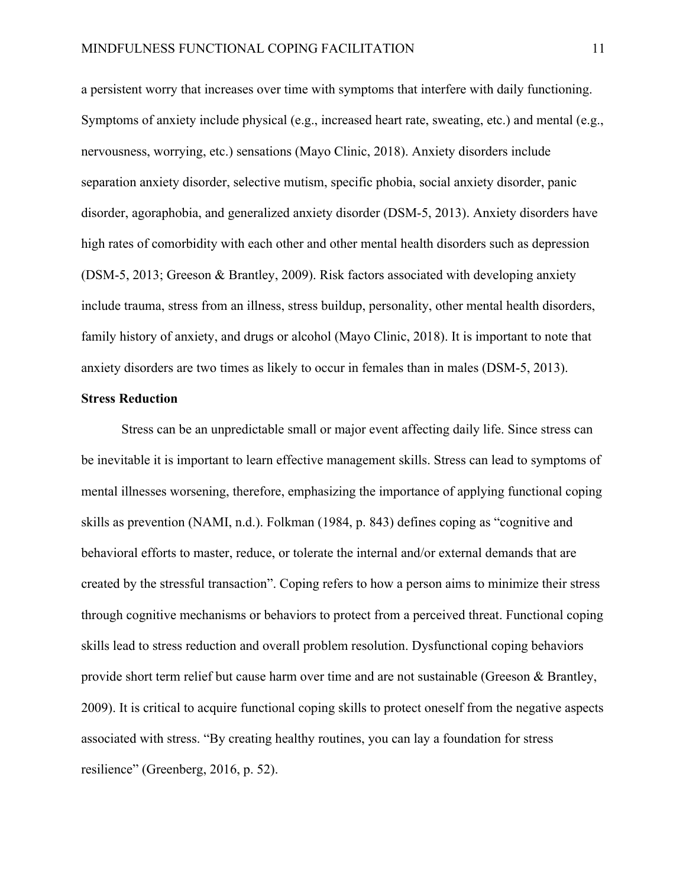a persistent worry that increases over time with symptoms that interfere with daily functioning. Symptoms of anxiety include physical (e.g., increased heart rate, sweating, etc.) and mental (e.g., nervousness, worrying, etc.) sensations (Mayo Clinic, 2018). Anxiety disorders include separation anxiety disorder, selective mutism, specific phobia, social anxiety disorder, panic disorder, agoraphobia, and generalized anxiety disorder (DSM-5, 2013). Anxiety disorders have high rates of comorbidity with each other and other mental health disorders such as depression (DSM-5, 2013; Greeson & Brantley, 2009). Risk factors associated with developing anxiety include trauma, stress from an illness, stress buildup, personality, other mental health disorders, family history of anxiety, and drugs or alcohol (Mayo Clinic, 2018). It is important to note that anxiety disorders are two times as likely to occur in females than in males (DSM-5, 2013).

#### **Stress Reduction**

Stress can be an unpredictable small or major event affecting daily life. Since stress can be inevitable it is important to learn effective management skills. Stress can lead to symptoms of mental illnesses worsening, therefore, emphasizing the importance of applying functional coping skills as prevention (NAMI, n.d.). Folkman (1984, p. 843) defines coping as "cognitive and behavioral efforts to master, reduce, or tolerate the internal and/or external demands that are created by the stressful transaction". Coping refers to how a person aims to minimize their stress through cognitive mechanisms or behaviors to protect from a perceived threat. Functional coping skills lead to stress reduction and overall problem resolution. Dysfunctional coping behaviors provide short term relief but cause harm over time and are not sustainable (Greeson & Brantley, 2009). It is critical to acquire functional coping skills to protect oneself from the negative aspects associated with stress. "By creating healthy routines, you can lay a foundation for stress resilience" (Greenberg, 2016, p. 52).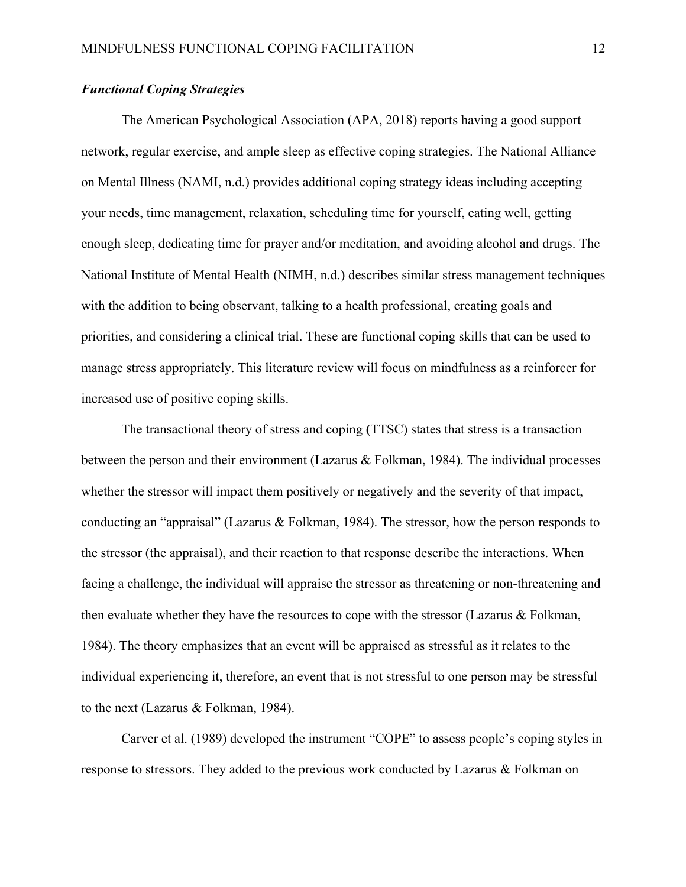# *Functional Coping Strategies*

The American Psychological Association (APA, 2018) reports having a good support network, regular exercise, and ample sleep as effective coping strategies. The National Alliance on Mental Illness (NAMI, n.d.) provides additional coping strategy ideas including accepting your needs, time management, relaxation, scheduling time for yourself, eating well, getting enough sleep, dedicating time for prayer and/or meditation, and avoiding alcohol and drugs. The National Institute of Mental Health (NIMH, n.d.) describes similar stress management techniques with the addition to being observant, talking to a health professional, creating goals and priorities, and considering a clinical trial. These are functional coping skills that can be used to manage stress appropriately. This literature review will focus on mindfulness as a reinforcer for increased use of positive coping skills.

The transactional theory of stress and coping **(**TTSC) states that stress is a transaction between the person and their environment (Lazarus & Folkman, 1984). The individual processes whether the stressor will impact them positively or negatively and the severity of that impact, conducting an "appraisal" (Lazarus & Folkman, 1984). The stressor, how the person responds to the stressor (the appraisal), and their reaction to that response describe the interactions. When facing a challenge, the individual will appraise the stressor as threatening or non-threatening and then evaluate whether they have the resources to cope with the stressor (Lazarus  $\&$  Folkman, 1984). The theory emphasizes that an event will be appraised as stressful as it relates to the individual experiencing it, therefore, an event that is not stressful to one person may be stressful to the next (Lazarus & Folkman, 1984).

Carver et al. (1989) developed the instrument "COPE" to assess people's coping styles in response to stressors. They added to the previous work conducted by Lazarus & Folkman on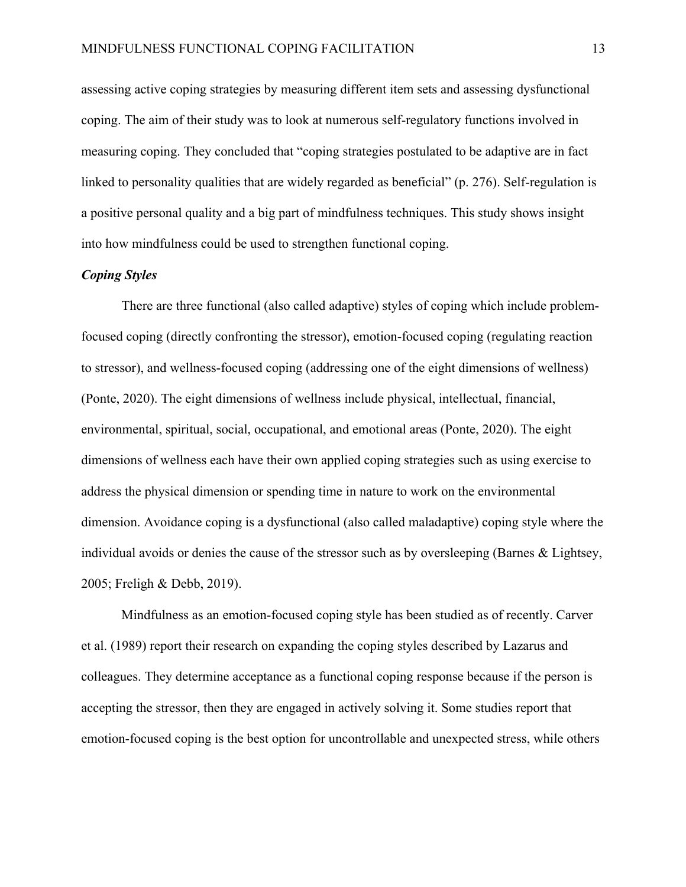assessing active coping strategies by measuring different item sets and assessing dysfunctional coping. The aim of their study was to look at numerous self-regulatory functions involved in measuring coping. They concluded that "coping strategies postulated to be adaptive are in fact linked to personality qualities that are widely regarded as beneficial" (p. 276). Self-regulation is a positive personal quality and a big part of mindfulness techniques. This study shows insight into how mindfulness could be used to strengthen functional coping.

#### *Coping Styles*

There are three functional (also called adaptive) styles of coping which include problemfocused coping (directly confronting the stressor), emotion-focused coping (regulating reaction to stressor), and wellness-focused coping (addressing one of the eight dimensions of wellness) (Ponte, 2020). The eight dimensions of wellness include physical, intellectual, financial, environmental, spiritual, social, occupational, and emotional areas (Ponte, 2020). The eight dimensions of wellness each have their own applied coping strategies such as using exercise to address the physical dimension or spending time in nature to work on the environmental dimension. Avoidance coping is a dysfunctional (also called maladaptive) coping style where the individual avoids or denies the cause of the stressor such as by oversleeping (Barnes  $\&$  Lightsey, 2005; Freligh & Debb, 2019).

Mindfulness as an emotion-focused coping style has been studied as of recently. Carver et al. (1989) report their research on expanding the coping styles described by Lazarus and colleagues. They determine acceptance as a functional coping response because if the person is accepting the stressor, then they are engaged in actively solving it. Some studies report that emotion-focused coping is the best option for uncontrollable and unexpected stress, while others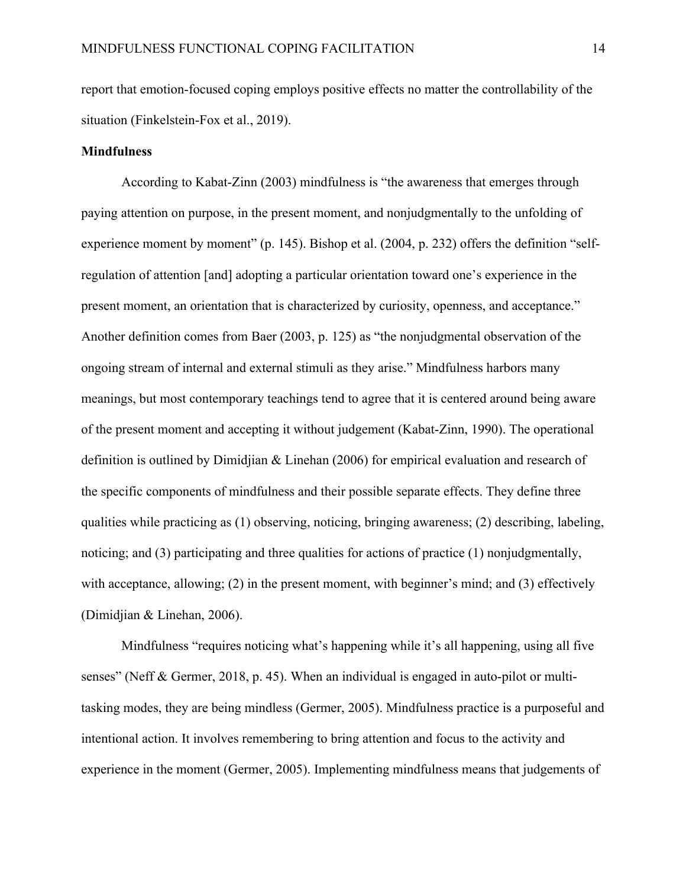report that emotion-focused coping employs positive effects no matter the controllability of the situation (Finkelstein-Fox et al., 2019).

#### **Mindfulness**

According to Kabat-Zinn (2003) mindfulness is "the awareness that emerges through paying attention on purpose, in the present moment, and nonjudgmentally to the unfolding of experience moment by moment" (p. 145). Bishop et al. (2004, p. 232) offers the definition "selfregulation of attention [and] adopting a particular orientation toward one's experience in the present moment, an orientation that is characterized by curiosity, openness, and acceptance." Another definition comes from Baer (2003, p. 125) as "the nonjudgmental observation of the ongoing stream of internal and external stimuli as they arise." Mindfulness harbors many meanings, but most contemporary teachings tend to agree that it is centered around being aware of the present moment and accepting it without judgement (Kabat-Zinn, 1990). The operational definition is outlined by Dimidjian & Linehan (2006) for empirical evaluation and research of the specific components of mindfulness and their possible separate effects. They define three qualities while practicing as (1) observing, noticing, bringing awareness; (2) describing, labeling, noticing; and (3) participating and three qualities for actions of practice (1) nonjudgmentally, with acceptance, allowing; (2) in the present moment, with beginner's mind; and (3) effectively (Dimidjian & Linehan, 2006).

Mindfulness "requires noticing what's happening while it's all happening, using all five senses" (Neff & Germer, 2018, p. 45). When an individual is engaged in auto-pilot or multitasking modes, they are being mindless (Germer, 2005). Mindfulness practice is a purposeful and intentional action. It involves remembering to bring attention and focus to the activity and experience in the moment (Germer, 2005). Implementing mindfulness means that judgements of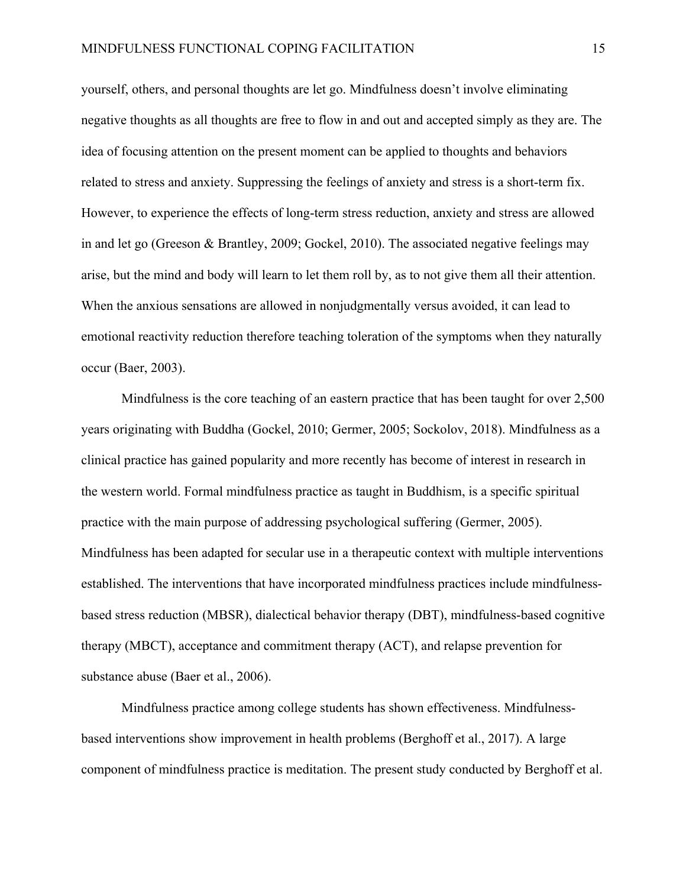yourself, others, and personal thoughts are let go. Mindfulness doesn't involve eliminating negative thoughts as all thoughts are free to flow in and out and accepted simply as they are. The idea of focusing attention on the present moment can be applied to thoughts and behaviors related to stress and anxiety. Suppressing the feelings of anxiety and stress is a short-term fix. However, to experience the effects of long-term stress reduction, anxiety and stress are allowed in and let go (Greeson & Brantley, 2009; Gockel, 2010). The associated negative feelings may arise, but the mind and body will learn to let them roll by, as to not give them all their attention. When the anxious sensations are allowed in nonjudgmentally versus avoided, it can lead to emotional reactivity reduction therefore teaching toleration of the symptoms when they naturally occur (Baer, 2003).

Mindfulness is the core teaching of an eastern practice that has been taught for over 2,500 years originating with Buddha (Gockel, 2010; Germer, 2005; Sockolov, 2018). Mindfulness as a clinical practice has gained popularity and more recently has become of interest in research in the western world. Formal mindfulness practice as taught in Buddhism, is a specific spiritual practice with the main purpose of addressing psychological suffering (Germer, 2005). Mindfulness has been adapted for secular use in a therapeutic context with multiple interventions established. The interventions that have incorporated mindfulness practices include mindfulnessbased stress reduction (MBSR), dialectical behavior therapy (DBT), mindfulness-based cognitive therapy (MBCT), acceptance and commitment therapy (ACT), and relapse prevention for substance abuse (Baer et al., 2006).

Mindfulness practice among college students has shown effectiveness. Mindfulnessbased interventions show improvement in health problems (Berghoff et al., 2017). A large component of mindfulness practice is meditation. The present study conducted by Berghoff et al.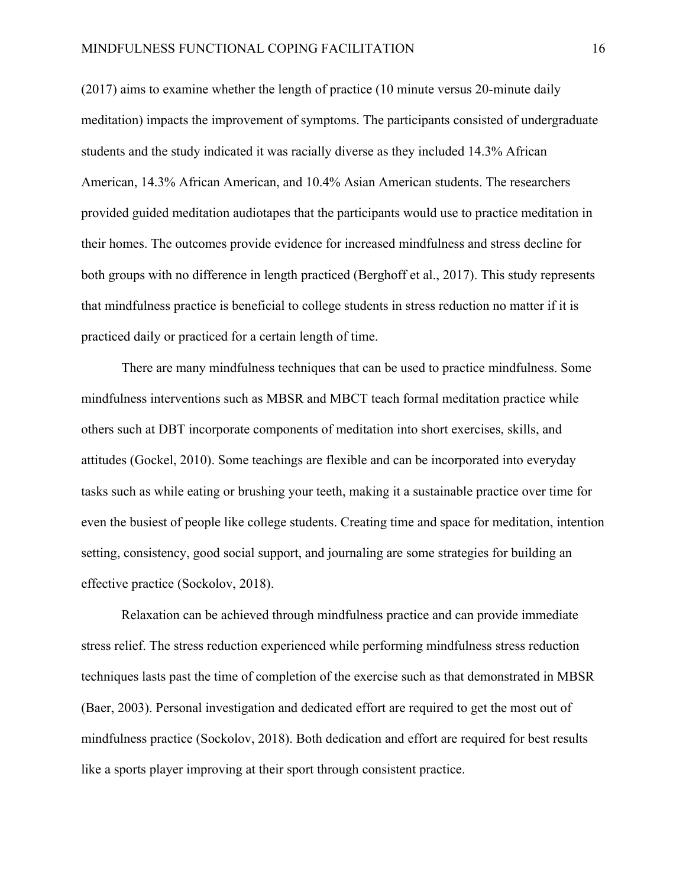(2017) aims to examine whether the length of practice (10 minute versus 20-minute daily meditation) impacts the improvement of symptoms. The participants consisted of undergraduate students and the study indicated it was racially diverse as they included 14.3% African American, 14.3% African American, and 10.4% Asian American students. The researchers provided guided meditation audiotapes that the participants would use to practice meditation in their homes. The outcomes provide evidence for increased mindfulness and stress decline for both groups with no difference in length practiced (Berghoff et al., 2017). This study represents that mindfulness practice is beneficial to college students in stress reduction no matter if it is practiced daily or practiced for a certain length of time.

There are many mindfulness techniques that can be used to practice mindfulness. Some mindfulness interventions such as MBSR and MBCT teach formal meditation practice while others such at DBT incorporate components of meditation into short exercises, skills, and attitudes (Gockel, 2010). Some teachings are flexible and can be incorporated into everyday tasks such as while eating or brushing your teeth, making it a sustainable practice over time for even the busiest of people like college students. Creating time and space for meditation, intention setting, consistency, good social support, and journaling are some strategies for building an effective practice (Sockolov, 2018).

Relaxation can be achieved through mindfulness practice and can provide immediate stress relief. The stress reduction experienced while performing mindfulness stress reduction techniques lasts past the time of completion of the exercise such as that demonstrated in MBSR (Baer, 2003). Personal investigation and dedicated effort are required to get the most out of mindfulness practice (Sockolov, 2018). Both dedication and effort are required for best results like a sports player improving at their sport through consistent practice.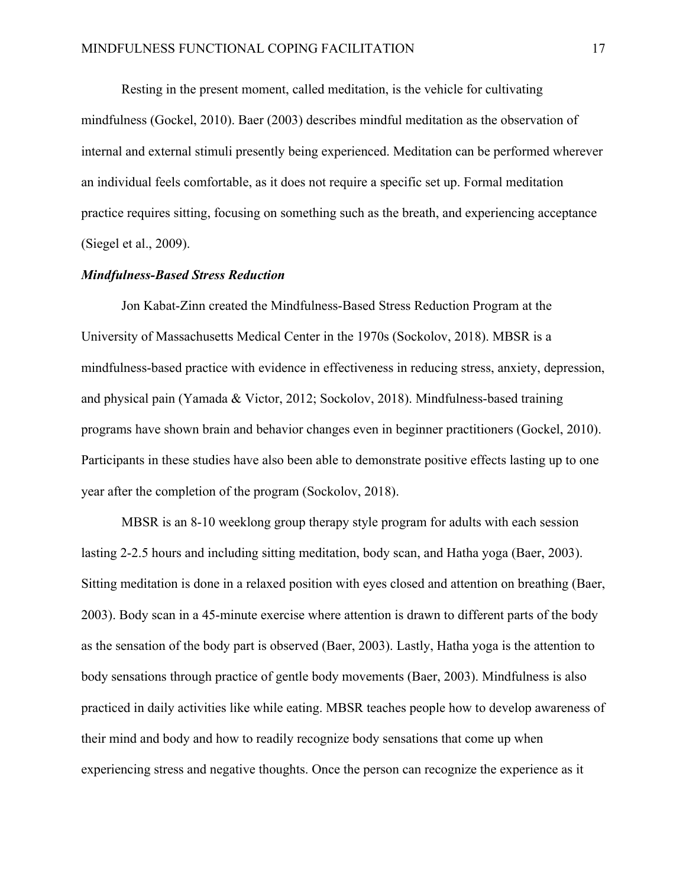Resting in the present moment, called meditation, is the vehicle for cultivating mindfulness (Gockel, 2010). Baer (2003) describes mindful meditation as the observation of internal and external stimuli presently being experienced. Meditation can be performed wherever an individual feels comfortable, as it does not require a specific set up. Formal meditation practice requires sitting, focusing on something such as the breath, and experiencing acceptance (Siegel et al., 2009).

#### *Mindfulness-Based Stress Reduction*

Jon Kabat-Zinn created the Mindfulness-Based Stress Reduction Program at the University of Massachusetts Medical Center in the 1970s (Sockolov, 2018). MBSR is a mindfulness-based practice with evidence in effectiveness in reducing stress, anxiety, depression, and physical pain (Yamada & Victor, 2012; Sockolov, 2018). Mindfulness-based training programs have shown brain and behavior changes even in beginner practitioners (Gockel, 2010). Participants in these studies have also been able to demonstrate positive effects lasting up to one year after the completion of the program (Sockolov, 2018).

MBSR is an 8-10 weeklong group therapy style program for adults with each session lasting 2-2.5 hours and including sitting meditation, body scan, and Hatha yoga (Baer, 2003). Sitting meditation is done in a relaxed position with eyes closed and attention on breathing (Baer, 2003). Body scan in a 45-minute exercise where attention is drawn to different parts of the body as the sensation of the body part is observed (Baer, 2003). Lastly, Hatha yoga is the attention to body sensations through practice of gentle body movements (Baer, 2003). Mindfulness is also practiced in daily activities like while eating. MBSR teaches people how to develop awareness of their mind and body and how to readily recognize body sensations that come up when experiencing stress and negative thoughts. Once the person can recognize the experience as it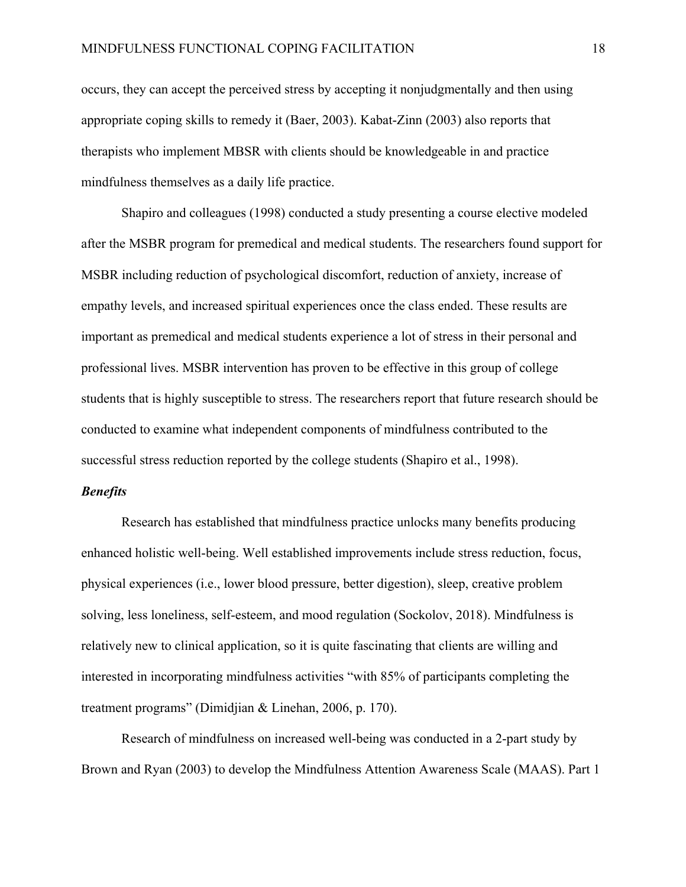occurs, they can accept the perceived stress by accepting it nonjudgmentally and then using appropriate coping skills to remedy it (Baer, 2003). Kabat-Zinn (2003) also reports that therapists who implement MBSR with clients should be knowledgeable in and practice mindfulness themselves as a daily life practice.

Shapiro and colleagues (1998) conducted a study presenting a course elective modeled after the MSBR program for premedical and medical students. The researchers found support for MSBR including reduction of psychological discomfort, reduction of anxiety, increase of empathy levels, and increased spiritual experiences once the class ended. These results are important as premedical and medical students experience a lot of stress in their personal and professional lives. MSBR intervention has proven to be effective in this group of college students that is highly susceptible to stress. The researchers report that future research should be conducted to examine what independent components of mindfulness contributed to the successful stress reduction reported by the college students (Shapiro et al., 1998).

#### *Benefits*

Research has established that mindfulness practice unlocks many benefits producing enhanced holistic well-being. Well established improvements include stress reduction, focus, physical experiences (i.e., lower blood pressure, better digestion), sleep, creative problem solving, less loneliness, self-esteem, and mood regulation (Sockolov, 2018). Mindfulness is relatively new to clinical application, so it is quite fascinating that clients are willing and interested in incorporating mindfulness activities "with 85% of participants completing the treatment programs" (Dimidjian & Linehan, 2006, p. 170).

Research of mindfulness on increased well-being was conducted in a 2-part study by Brown and Ryan (2003) to develop the Mindfulness Attention Awareness Scale (MAAS). Part 1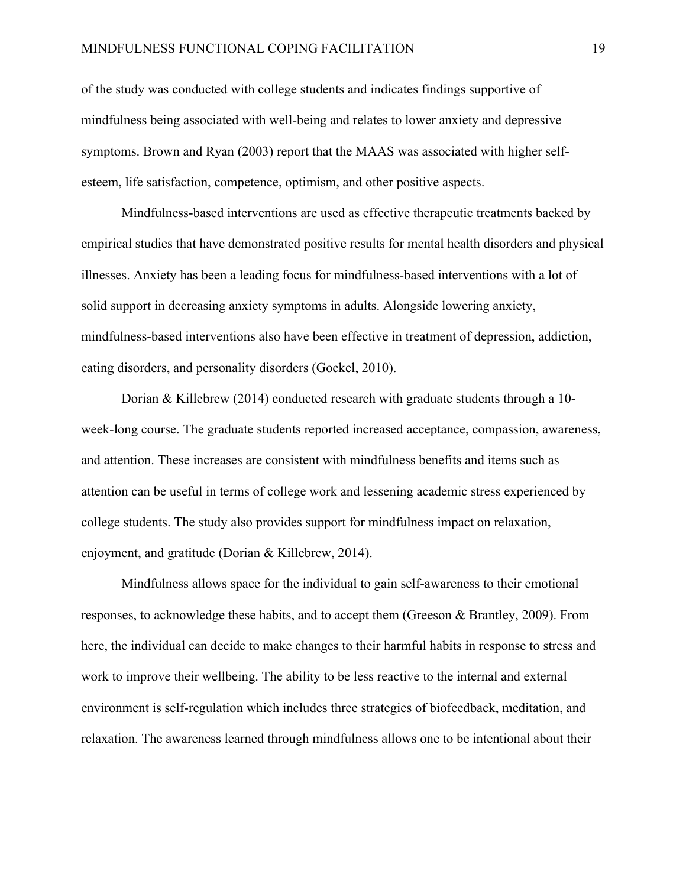of the study was conducted with college students and indicates findings supportive of mindfulness being associated with well-being and relates to lower anxiety and depressive symptoms. Brown and Ryan (2003) report that the MAAS was associated with higher selfesteem, life satisfaction, competence, optimism, and other positive aspects.

Mindfulness-based interventions are used as effective therapeutic treatments backed by empirical studies that have demonstrated positive results for mental health disorders and physical illnesses. Anxiety has been a leading focus for mindfulness-based interventions with a lot of solid support in decreasing anxiety symptoms in adults. Alongside lowering anxiety, mindfulness-based interventions also have been effective in treatment of depression, addiction, eating disorders, and personality disorders (Gockel, 2010).

Dorian & Killebrew (2014) conducted research with graduate students through a 10 week-long course. The graduate students reported increased acceptance, compassion, awareness, and attention. These increases are consistent with mindfulness benefits and items such as attention can be useful in terms of college work and lessening academic stress experienced by college students. The study also provides support for mindfulness impact on relaxation, enjoyment, and gratitude (Dorian & Killebrew, 2014).

Mindfulness allows space for the individual to gain self-awareness to their emotional responses, to acknowledge these habits, and to accept them (Greeson & Brantley, 2009). From here, the individual can decide to make changes to their harmful habits in response to stress and work to improve their wellbeing. The ability to be less reactive to the internal and external environment is self-regulation which includes three strategies of biofeedback, meditation, and relaxation. The awareness learned through mindfulness allows one to be intentional about their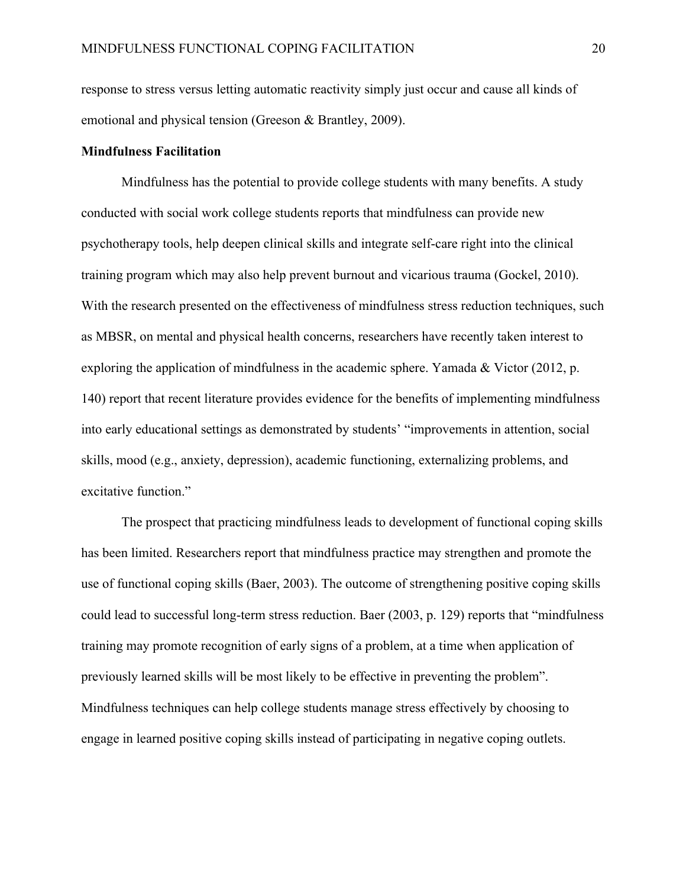response to stress versus letting automatic reactivity simply just occur and cause all kinds of emotional and physical tension (Greeson & Brantley, 2009).

#### **Mindfulness Facilitation**

Mindfulness has the potential to provide college students with many benefits. A study conducted with social work college students reports that mindfulness can provide new psychotherapy tools, help deepen clinical skills and integrate self-care right into the clinical training program which may also help prevent burnout and vicarious trauma (Gockel, 2010). With the research presented on the effectiveness of mindfulness stress reduction techniques, such as MBSR, on mental and physical health concerns, researchers have recently taken interest to exploring the application of mindfulness in the academic sphere. Yamada & Victor (2012, p. 140) report that recent literature provides evidence for the benefits of implementing mindfulness into early educational settings as demonstrated by students' "improvements in attention, social skills, mood (e.g., anxiety, depression), academic functioning, externalizing problems, and excitative function."

The prospect that practicing mindfulness leads to development of functional coping skills has been limited. Researchers report that mindfulness practice may strengthen and promote the use of functional coping skills (Baer, 2003). The outcome of strengthening positive coping skills could lead to successful long-term stress reduction. Baer (2003, p. 129) reports that "mindfulness training may promote recognition of early signs of a problem, at a time when application of previously learned skills will be most likely to be effective in preventing the problem". Mindfulness techniques can help college students manage stress effectively by choosing to engage in learned positive coping skills instead of participating in negative coping outlets.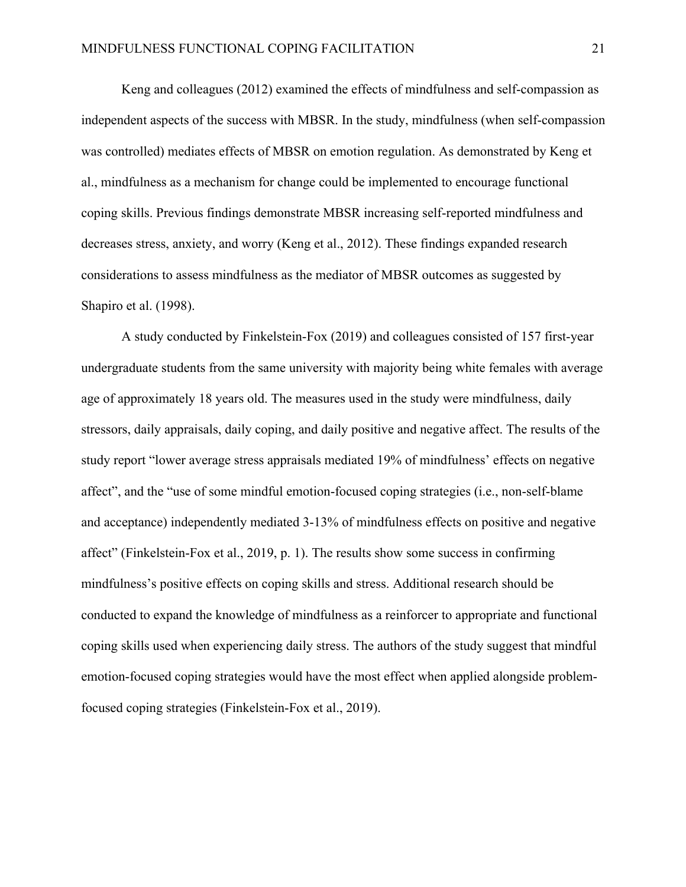Keng and colleagues (2012) examined the effects of mindfulness and self-compassion as independent aspects of the success with MBSR. In the study, mindfulness (when self-compassion was controlled) mediates effects of MBSR on emotion regulation. As demonstrated by Keng et al., mindfulness as a mechanism for change could be implemented to encourage functional coping skills. Previous findings demonstrate MBSR increasing self-reported mindfulness and decreases stress, anxiety, and worry (Keng et al., 2012). These findings expanded research considerations to assess mindfulness as the mediator of MBSR outcomes as suggested by Shapiro et al. (1998).

A study conducted by Finkelstein-Fox (2019) and colleagues consisted of 157 first-year undergraduate students from the same university with majority being white females with average age of approximately 18 years old. The measures used in the study were mindfulness, daily stressors, daily appraisals, daily coping, and daily positive and negative affect. The results of the study report "lower average stress appraisals mediated 19% of mindfulness' effects on negative affect", and the "use of some mindful emotion-focused coping strategies (i.e., non-self-blame and acceptance) independently mediated 3-13% of mindfulness effects on positive and negative affect" (Finkelstein-Fox et al., 2019, p. 1). The results show some success in confirming mindfulness's positive effects on coping skills and stress. Additional research should be conducted to expand the knowledge of mindfulness as a reinforcer to appropriate and functional coping skills used when experiencing daily stress. The authors of the study suggest that mindful emotion-focused coping strategies would have the most effect when applied alongside problemfocused coping strategies (Finkelstein-Fox et al., 2019).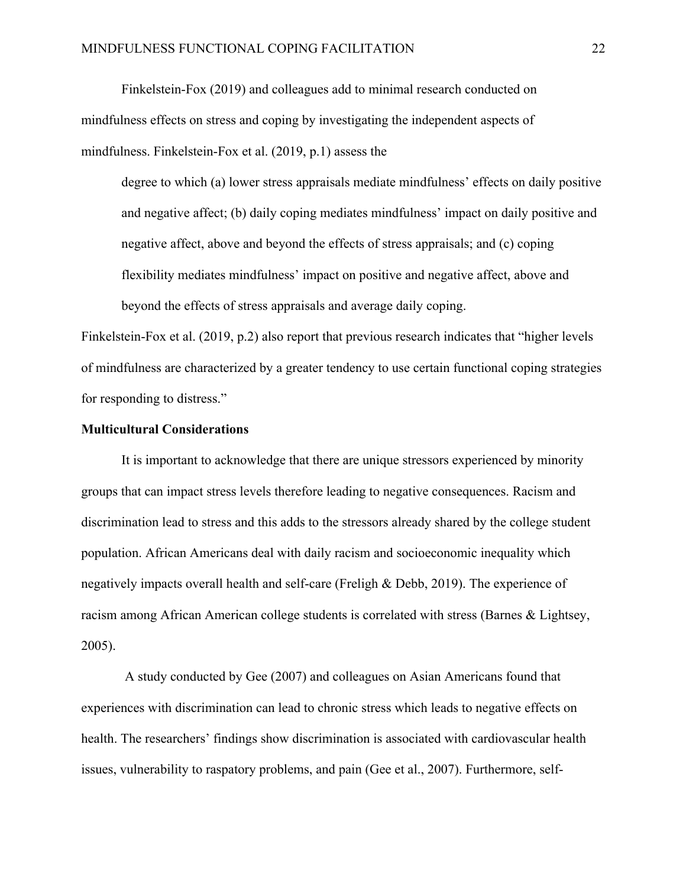Finkelstein-Fox (2019) and colleagues add to minimal research conducted on mindfulness effects on stress and coping by investigating the independent aspects of mindfulness. Finkelstein-Fox et al. (2019, p.1) assess the

degree to which (a) lower stress appraisals mediate mindfulness' effects on daily positive and negative affect; (b) daily coping mediates mindfulness' impact on daily positive and negative affect, above and beyond the effects of stress appraisals; and (c) coping flexibility mediates mindfulness' impact on positive and negative affect, above and beyond the effects of stress appraisals and average daily coping.

Finkelstein-Fox et al. (2019, p.2) also report that previous research indicates that "higher levels of mindfulness are characterized by a greater tendency to use certain functional coping strategies for responding to distress."

#### **Multicultural Considerations**

It is important to acknowledge that there are unique stressors experienced by minority groups that can impact stress levels therefore leading to negative consequences. Racism and discrimination lead to stress and this adds to the stressors already shared by the college student population. African Americans deal with daily racism and socioeconomic inequality which negatively impacts overall health and self-care (Freligh & Debb, 2019). The experience of racism among African American college students is correlated with stress (Barnes & Lightsey, 2005).

A study conducted by Gee (2007) and colleagues on Asian Americans found that experiences with discrimination can lead to chronic stress which leads to negative effects on health. The researchers' findings show discrimination is associated with cardiovascular health issues, vulnerability to raspatory problems, and pain (Gee et al., 2007). Furthermore, self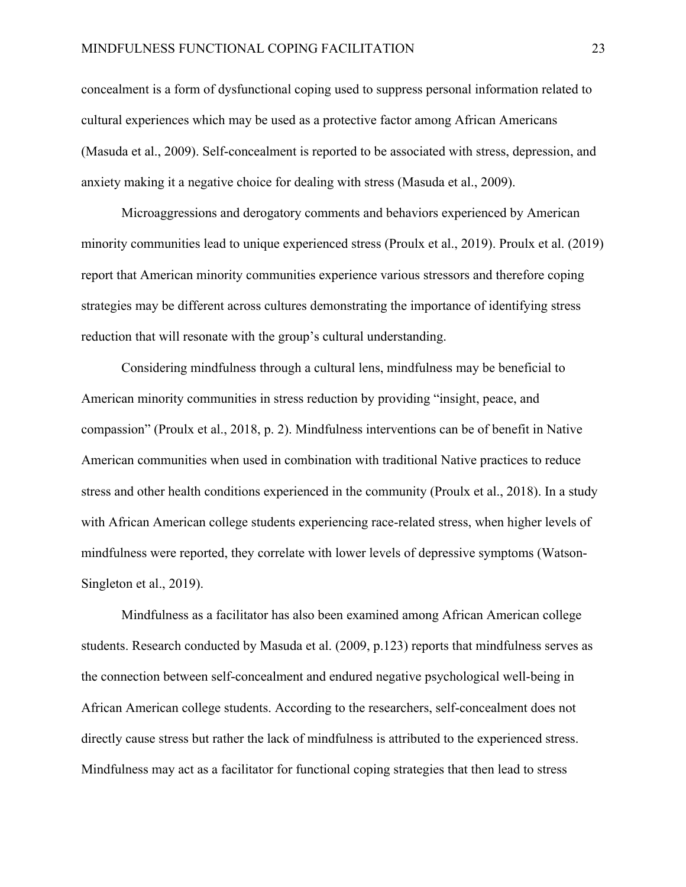concealment is a form of dysfunctional coping used to suppress personal information related to cultural experiences which may be used as a protective factor among African Americans (Masuda et al., 2009). Self-concealment is reported to be associated with stress, depression, and anxiety making it a negative choice for dealing with stress (Masuda et al., 2009).

Microaggressions and derogatory comments and behaviors experienced by American minority communities lead to unique experienced stress (Proulx et al., 2019). Proulx et al. (2019) report that American minority communities experience various stressors and therefore coping strategies may be different across cultures demonstrating the importance of identifying stress reduction that will resonate with the group's cultural understanding.

Considering mindfulness through a cultural lens, mindfulness may be beneficial to American minority communities in stress reduction by providing "insight, peace, and compassion" (Proulx et al., 2018, p. 2). Mindfulness interventions can be of benefit in Native American communities when used in combination with traditional Native practices to reduce stress and other health conditions experienced in the community (Proulx et al., 2018). In a study with African American college students experiencing race-related stress, when higher levels of mindfulness were reported, they correlate with lower levels of depressive symptoms (Watson-Singleton et al., 2019).

Mindfulness as a facilitator has also been examined among African American college students. Research conducted by Masuda et al. (2009, p.123) reports that mindfulness serves as the connection between self-concealment and endured negative psychological well-being in African American college students. According to the researchers, self-concealment does not directly cause stress but rather the lack of mindfulness is attributed to the experienced stress. Mindfulness may act as a facilitator for functional coping strategies that then lead to stress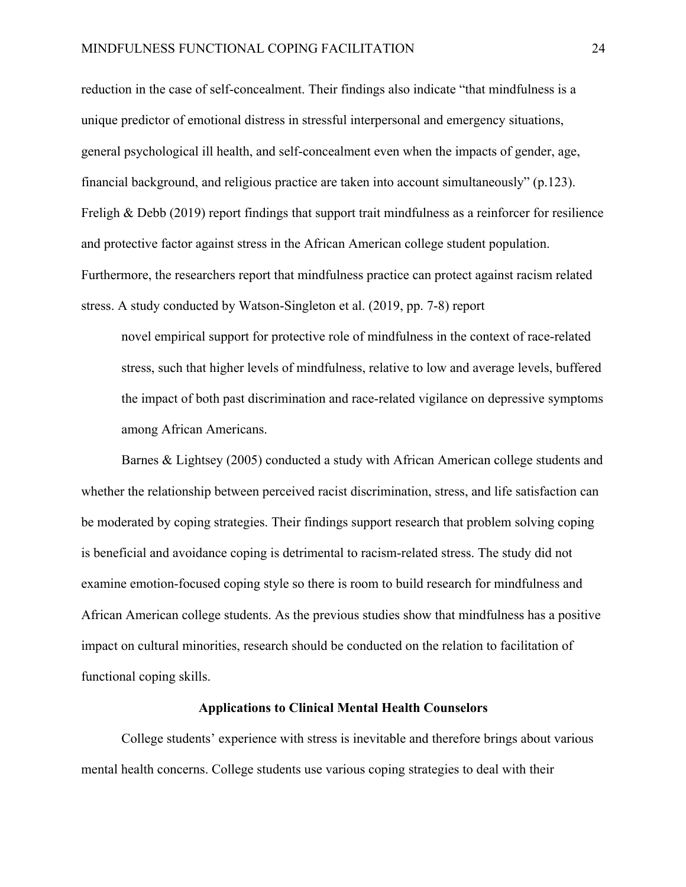reduction in the case of self-concealment. Their findings also indicate "that mindfulness is a unique predictor of emotional distress in stressful interpersonal and emergency situations, general psychological ill health, and self-concealment even when the impacts of gender, age, financial background, and religious practice are taken into account simultaneously" (p.123). Freligh & Debb (2019) report findings that support trait mindfulness as a reinforcer for resilience and protective factor against stress in the African American college student population. Furthermore, the researchers report that mindfulness practice can protect against racism related stress. A study conducted by Watson-Singleton et al. (2019, pp. 7-8) report

novel empirical support for protective role of mindfulness in the context of race-related stress, such that higher levels of mindfulness, relative to low and average levels, buffered the impact of both past discrimination and race-related vigilance on depressive symptoms among African Americans.

Barnes & Lightsey (2005) conducted a study with African American college students and whether the relationship between perceived racist discrimination, stress, and life satisfaction can be moderated by coping strategies. Their findings support research that problem solving coping is beneficial and avoidance coping is detrimental to racism-related stress. The study did not examine emotion-focused coping style so there is room to build research for mindfulness and African American college students. As the previous studies show that mindfulness has a positive impact on cultural minorities, research should be conducted on the relation to facilitation of functional coping skills.

## **Applications to Clinical Mental Health Counselors**

College students' experience with stress is inevitable and therefore brings about various mental health concerns. College students use various coping strategies to deal with their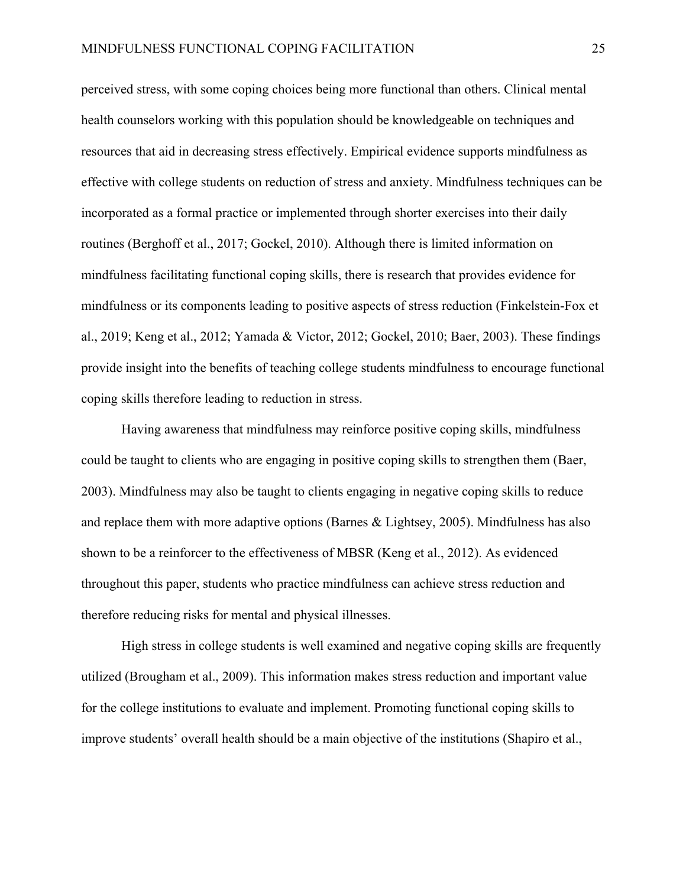perceived stress, with some coping choices being more functional than others. Clinical mental health counselors working with this population should be knowledgeable on techniques and resources that aid in decreasing stress effectively. Empirical evidence supports mindfulness as effective with college students on reduction of stress and anxiety. Mindfulness techniques can be incorporated as a formal practice or implemented through shorter exercises into their daily routines (Berghoff et al., 2017; Gockel, 2010). Although there is limited information on mindfulness facilitating functional coping skills, there is research that provides evidence for mindfulness or its components leading to positive aspects of stress reduction (Finkelstein-Fox et al., 2019; Keng et al., 2012; Yamada & Victor, 2012; Gockel, 2010; Baer, 2003). These findings provide insight into the benefits of teaching college students mindfulness to encourage functional coping skills therefore leading to reduction in stress.

Having awareness that mindfulness may reinforce positive coping skills, mindfulness could be taught to clients who are engaging in positive coping skills to strengthen them (Baer, 2003). Mindfulness may also be taught to clients engaging in negative coping skills to reduce and replace them with more adaptive options (Barnes & Lightsey, 2005). Mindfulness has also shown to be a reinforcer to the effectiveness of MBSR (Keng et al., 2012). As evidenced throughout this paper, students who practice mindfulness can achieve stress reduction and therefore reducing risks for mental and physical illnesses.

High stress in college students is well examined and negative coping skills are frequently utilized (Brougham et al., 2009). This information makes stress reduction and important value for the college institutions to evaluate and implement. Promoting functional coping skills to improve students' overall health should be a main objective of the institutions (Shapiro et al.,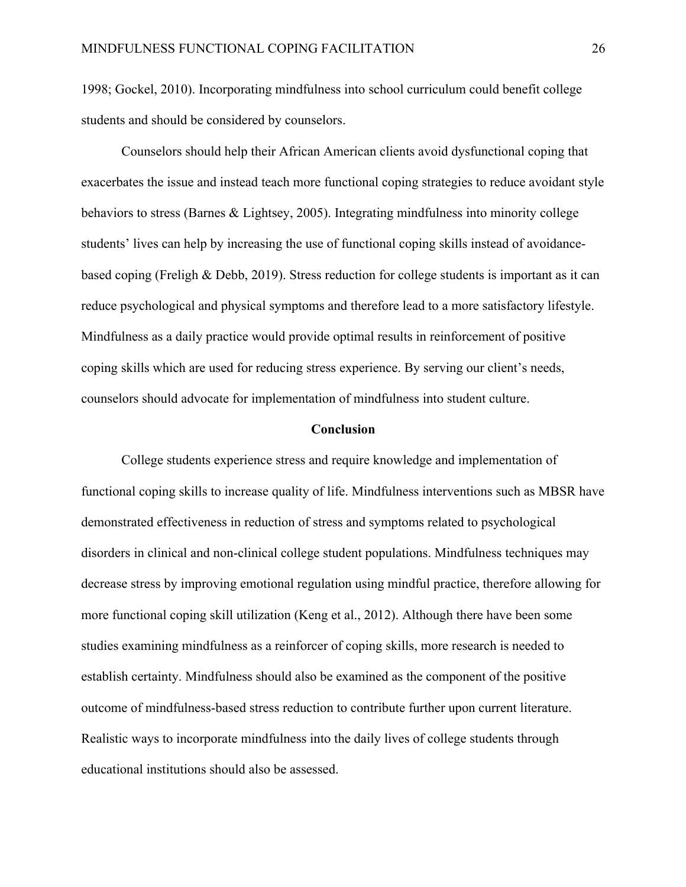1998; Gockel, 2010). Incorporating mindfulness into school curriculum could benefit college students and should be considered by counselors.

Counselors should help their African American clients avoid dysfunctional coping that exacerbates the issue and instead teach more functional coping strategies to reduce avoidant style behaviors to stress (Barnes & Lightsey, 2005). Integrating mindfulness into minority college students' lives can help by increasing the use of functional coping skills instead of avoidancebased coping (Freligh & Debb, 2019). Stress reduction for college students is important as it can reduce psychological and physical symptoms and therefore lead to a more satisfactory lifestyle. Mindfulness as a daily practice would provide optimal results in reinforcement of positive coping skills which are used for reducing stress experience. By serving our client's needs, counselors should advocate for implementation of mindfulness into student culture.

#### **Conclusion**

College students experience stress and require knowledge and implementation of functional coping skills to increase quality of life. Mindfulness interventions such as MBSR have demonstrated effectiveness in reduction of stress and symptoms related to psychological disorders in clinical and non-clinical college student populations. Mindfulness techniques may decrease stress by improving emotional regulation using mindful practice, therefore allowing for more functional coping skill utilization (Keng et al., 2012). Although there have been some studies examining mindfulness as a reinforcer of coping skills, more research is needed to establish certainty. Mindfulness should also be examined as the component of the positive outcome of mindfulness-based stress reduction to contribute further upon current literature. Realistic ways to incorporate mindfulness into the daily lives of college students through educational institutions should also be assessed.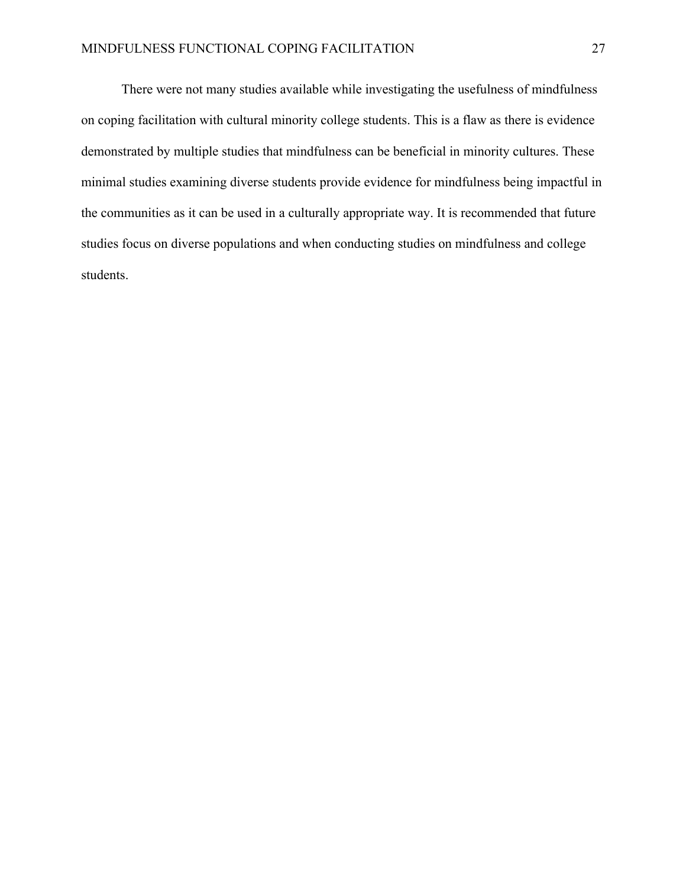There were not many studies available while investigating the usefulness of mindfulness on coping facilitation with cultural minority college students. This is a flaw as there is evidence demonstrated by multiple studies that mindfulness can be beneficial in minority cultures. These minimal studies examining diverse students provide evidence for mindfulness being impactful in the communities as it can be used in a culturally appropriate way. It is recommended that future studies focus on diverse populations and when conducting studies on mindfulness and college students.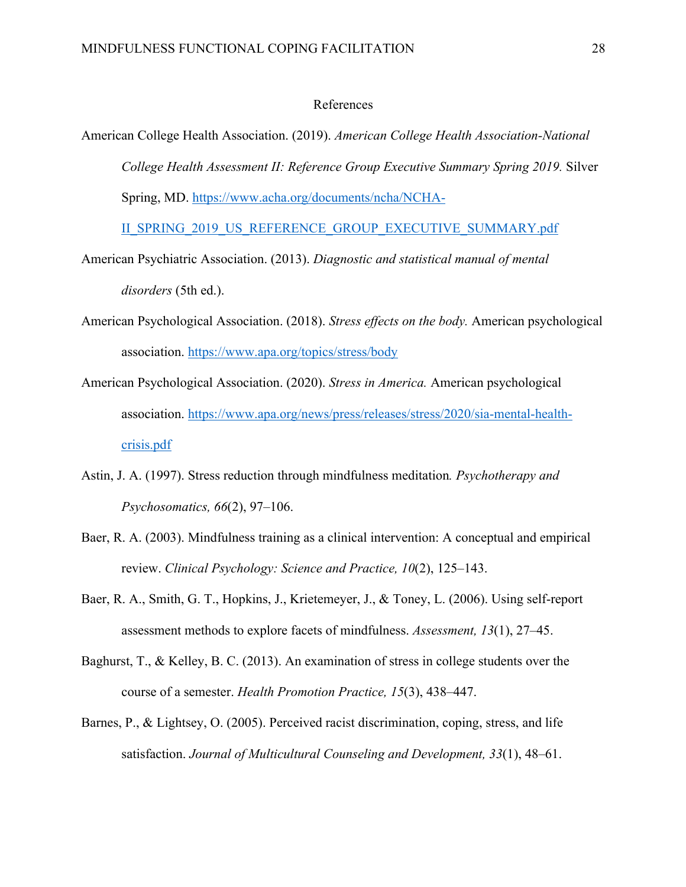# References

American College Health Association. (2019). *American College Health Association-National College Health Assessment II: Reference Group Executive Summary Spring 2019.* Silver Spring, MD. https://www.acha.org/documents/ncha/NCHA-

II\_SPRING\_2019\_US\_REFERENCE\_GROUP\_EXECUTIVE\_SUMMARY.pdf

- American Psychiatric Association. (2013). *Diagnostic and statistical manual of mental disorders* (5th ed.).
- American Psychological Association. (2018). *Stress effects on the body.* American psychological association. https://www.apa.org/topics/stress/body
- American Psychological Association. (2020). *Stress in America.* American psychological association. https://www.apa.org/news/press/releases/stress/2020/sia-mental-healthcrisis.pdf
- Astin, J. A. (1997). Stress reduction through mindfulness meditation*. Psychotherapy and Psychosomatics, 66*(2), 97–106.
- Baer, R. A. (2003). Mindfulness training as a clinical intervention: A conceptual and empirical review. *Clinical Psychology: Science and Practice, 10*(2), 125–143.
- Baer, R. A., Smith, G. T., Hopkins, J., Krietemeyer, J., & Toney, L. (2006). Using self-report assessment methods to explore facets of mindfulness. *Assessment, 13*(1), 27–45.
- Baghurst, T., & Kelley, B. C. (2013). An examination of stress in college students over the course of a semester. *Health Promotion Practice, 15*(3), 438–447.
- Barnes, P., & Lightsey, O. (2005). Perceived racist discrimination, coping, stress, and life satisfaction. *Journal of Multicultural Counseling and Development, 33*(1), 48–61.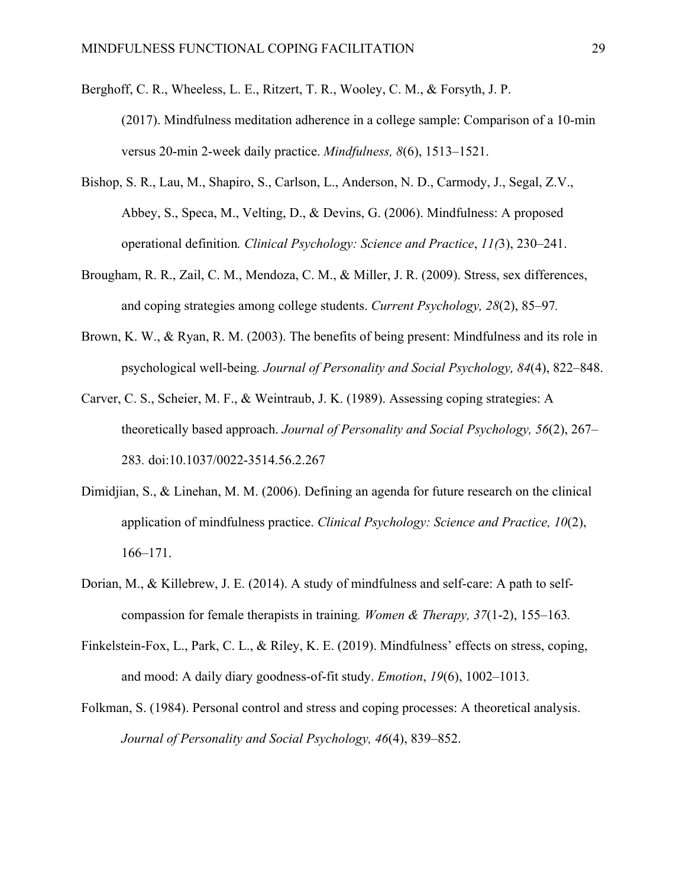- Berghoff, C. R., Wheeless, L. E., Ritzert, T. R., Wooley, C. M., & Forsyth, J. P. (2017). Mindfulness meditation adherence in a college sample: Comparison of a 10-min versus 20-min 2-week daily practice. *Mindfulness, 8*(6), 1513–1521.
- Bishop, S. R., Lau, M., Shapiro, S., Carlson, L., Anderson, N. D., Carmody, J., Segal, Z.V., Abbey, S., Speca, M., Velting, D., & Devins, G. (2006). Mindfulness: A proposed operational definition*. Clinical Psychology: Science and Practice*, *11(*3), 230–241.
- Brougham, R. R., Zail, C. M., Mendoza, C. M., & Miller, J. R. (2009). Stress, sex differences, and coping strategies among college students. *Current Psychology, 28*(2), 85–97*.*
- Brown, K. W., & Ryan, R. M. (2003). The benefits of being present: Mindfulness and its role in psychological well-being*. Journal of Personality and Social Psychology, 84*(4), 822–848.
- Carver, C. S., Scheier, M. F., & Weintraub, J. K. (1989). Assessing coping strategies: A theoretically based approach. *Journal of Personality and Social Psychology, 56*(2), 267– 283*.* doi:10.1037/0022-3514.56.2.267
- Dimidjian, S., & Linehan, M. M. (2006). Defining an agenda for future research on the clinical application of mindfulness practice. *Clinical Psychology: Science and Practice, 10*(2), 166–171.
- Dorian, M., & Killebrew, J. E. (2014). A study of mindfulness and self-care: A path to selfcompassion for female therapists in training*. Women & Therapy, 37*(1-2), 155–163*.*
- Finkelstein-Fox, L., Park, C. L., & Riley, K. E. (2019). Mindfulness' effects on stress, coping, and mood: A daily diary goodness-of-fit study. *Emotion*, *19*(6), 1002–1013.
- Folkman, S. (1984). Personal control and stress and coping processes: A theoretical analysis. *Journal of Personality and Social Psychology, 46*(4), 839–852.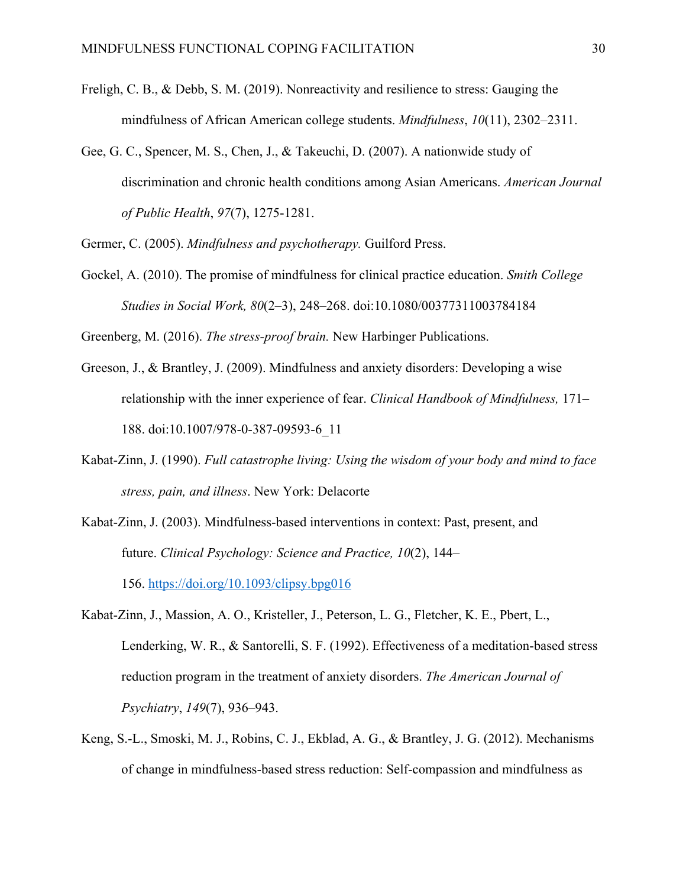- Freligh, C. B., & Debb, S. M. (2019). Nonreactivity and resilience to stress: Gauging the mindfulness of African American college students. *Mindfulness*, *10*(11), 2302–2311.
- Gee, G. C., Spencer, M. S., Chen, J., & Takeuchi, D. (2007). A nationwide study of discrimination and chronic health conditions among Asian Americans. *American Journal of Public Health*, *97*(7), 1275-1281.

Germer, C. (2005). *Mindfulness and psychotherapy.* Guilford Press.

Gockel, A. (2010). The promise of mindfulness for clinical practice education. *Smith College Studies in Social Work, 80*(2–3), 248–268. doi:10.1080/00377311003784184

Greenberg, M. (2016). *The stress-proof brain.* New Harbinger Publications.

- Greeson, J., & Brantley, J. (2009). Mindfulness and anxiety disorders: Developing a wise relationship with the inner experience of fear. *Clinical Handbook of Mindfulness,* 171– 188. doi:10.1007/978-0-387-09593-6\_11
- Kabat-Zinn, J. (1990). *Full catastrophe living: Using the wisdom of your body and mind to face stress, pain, and illness*. New York: Delacorte
- Kabat-Zinn, J. (2003). Mindfulness-based interventions in context: Past, present, and future. *Clinical Psychology: Science and Practice, 10*(2), 144– 156. https://doi.org/10.1093/clipsy.bpg016
- Kabat-Zinn, J., Massion, A. O., Kristeller, J., Peterson, L. G., Fletcher, K. E., Pbert, L., Lenderking, W. R., & Santorelli, S. F. (1992). Effectiveness of a meditation-based stress reduction program in the treatment of anxiety disorders. *The American Journal of Psychiatry*, *149*(7), 936–943.
- Keng, S.-L., Smoski, M. J., Robins, C. J., Ekblad, A. G., & Brantley, J. G. (2012). Mechanisms of change in mindfulness-based stress reduction: Self-compassion and mindfulness as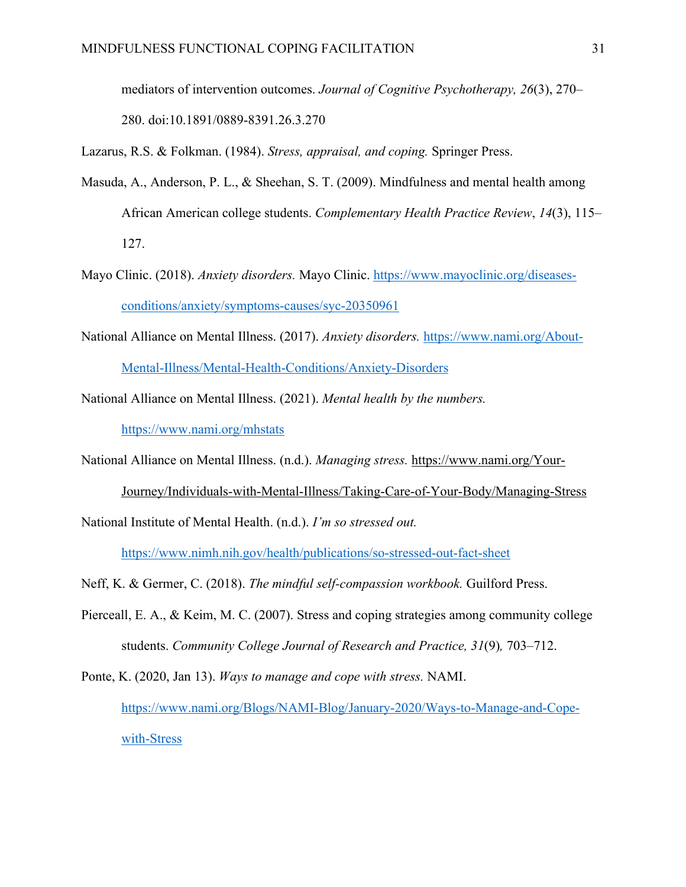mediators of intervention outcomes. *Journal of Cognitive Psychotherapy, 26*(3), 270– 280. doi:10.1891/0889-8391.26.3.270

Lazarus, R.S. & Folkman. (1984). *Stress, appraisal, and coping.* Springer Press.

- Masuda, A., Anderson, P. L., & Sheehan, S. T. (2009). Mindfulness and mental health among African American college students. *Complementary Health Practice Review*, *14*(3), 115– 127.
- Mayo Clinic. (2018). *Anxiety disorders.* Mayo Clinic. https://www.mayoclinic.org/diseasesconditions/anxiety/symptoms-causes/syc-20350961
- National Alliance on Mental Illness. (2017). *Anxiety disorders.* https://www.nami.org/About-Mental-Illness/Mental-Health-Conditions/Anxiety-Disorders
- National Alliance on Mental Illness. (2021). *Mental health by the numbers.* https://www.nami.org/mhstats
- National Alliance on Mental Illness. (n.d.). *Managing stress.* https://www.nami.org/Your-Journey/Individuals-with-Mental-Illness/Taking-Care-of-Your-Body/Managing-Stress
- National Institute of Mental Health. (n.d.). *I'm so stressed out.*

https://www.nimh.nih.gov/health/publications/so-stressed-out-fact-sheet

- Neff, K. & Germer, C. (2018). *The mindful self-compassion workbook.* Guilford Press.
- Pierceall, E. A., & Keim, M. C. (2007). Stress and coping strategies among community college students. *Community College Journal of Research and Practice, 31*(9)*,* 703–712.

Ponte, K. (2020, Jan 13). *Ways to manage and cope with stress.* NAMI. https://www.nami.org/Blogs/NAMI-Blog/January-2020/Ways-to-Manage-and-Copewith-Stress